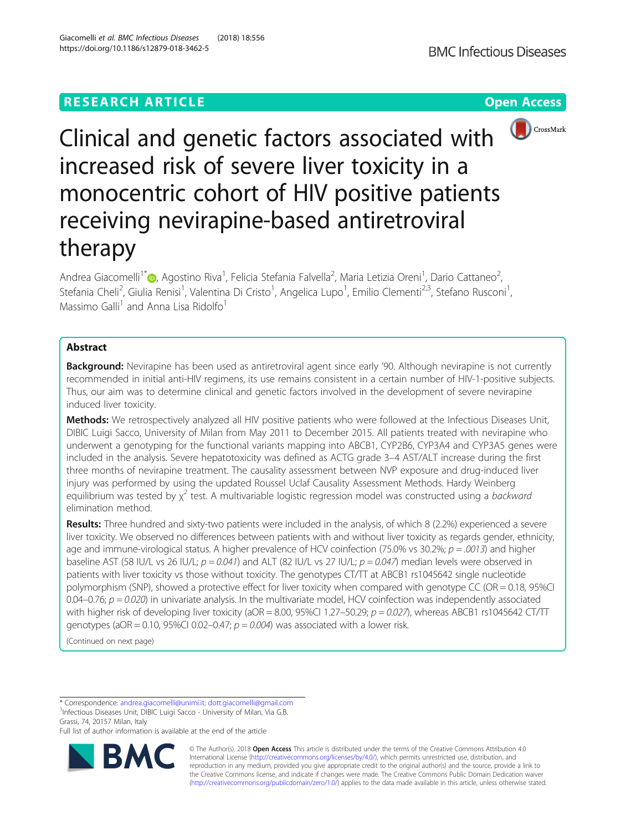# **RESEARCH ARTICLE Example 2018 12:30 THE Open Access**

Clinical and genetic factors associated with increased risk of severe liver toxicity in a monocentric cohort of HIV positive patients receiving nevirapine-based antiretroviral therapy

Andrea Giacomelli<sup>1\*</sup>®[,](http://orcid.org/0000-0003-3685-4289) Agostino Riva<sup>1</sup>, Felicia Stefania Falvella<sup>2</sup>, Maria Letizia Oreni<sup>1</sup>, Dario Cattaneo<sup>2</sup> , Stefania Cheli<sup>2</sup>, Giulia Renisi<sup>1</sup>, Valentina Di Cristo<sup>1</sup>, Angelica Lupo<sup>1</sup>, Emilio Clementi<sup>2,3</sup>, Stefano Rusconi<sup>1</sup> , Massimo Galli<sup>1</sup> and Anna Lisa Ridolfo<sup>1</sup>

# Abstract

Background: Nevirapine has been used as antiretroviral agent since early '90. Although nevirapine is not currently recommended in initial anti-HIV regimens, its use remains consistent in a certain number of HIV-1-positive subjects. Thus, our aim was to determine clinical and genetic factors involved in the development of severe nevirapine induced liver toxicity.

Methods: We retrospectively analyzed all HIV positive patients who were followed at the Infectious Diseases Unit, DIBIC Luigi Sacco, University of Milan from May 2011 to December 2015. All patients treated with nevirapine who underwent a genotyping for the functional variants mapping into ABCB1, CYP2B6, CYP3A4 and CYP3A5 genes were included in the analysis. Severe hepatotoxicity was defined as ACTG grade 3–4 AST/ALT increase during the first three months of nevirapine treatment. The causality assessment between NVP exposure and drug-induced liver injury was performed by using the updated Roussel Uclaf Causality Assessment Methods. Hardy Weinberg equilibrium was tested by  $\chi^2$  test. A multivariable logistic regression model was constructed using a backward elimination method.

Results: Three hundred and sixty-two patients were included in the analysis, of which 8 (2.2%) experienced a severe liver toxicity. We observed no differences between patients with and without liver toxicity as regards gender, ethnicity, age and immune-virological status. A higher prevalence of HCV coinfection (75.0% vs 30.2%;  $p = .0013$ ) and higher baseline AST (58 IU/L vs 26 IU/L;  $p = 0.041$ ) and ALT (82 IU/L vs 27 IU/L;  $p = 0.047$ ) median levels were observed in patients with liver toxicity vs those without toxicity. The genotypes CT/TT at ABCB1 rs1045642 single nucleotide polymorphism (SNP), showed a protective effect for liver toxicity when compared with genotype CC (OR = 0.18, 95%CI 0.04–0.76;  $p = 0.020$ ) in univariate analysis. In the multivariate model, HCV coinfection was independently associated with higher risk of developing liver toxicity (aOR = 8.00, 95%CI 1.27-50.29;  $p = 0.027$ ), whereas ABCB1 rs1045642 CT/TT genotypes (aOR = 0.10, 95%CI 0.02-0.47;  $p = 0.004$ ) was associated with a lower risk.

(Continued on next page)

\* Correspondence: [andrea.giacomelli@unimi.it;](mailto:andrea.giacomelli@unimi.it) [dott.giacomelli@gmail.com](mailto:dott.giacomelli@gmail.com) <sup>1</sup>

<sup>1</sup>Infectious Diseases Unit, DIBIC Luigi Sacco - University of Milan, Via G.B. Grassi, 74, 20157 Milan, Italy

Full list of author information is available at the end of the article



© The Author(s). 2018 Open Access This article is distributed under the terms of the Creative Commons Attribution 4.0 International License [\(http://creativecommons.org/licenses/by/4.0/](http://creativecommons.org/licenses/by/4.0/)), which permits unrestricted use, distribution, and reproduction in any medium, provided you give appropriate credit to the original author(s) and the source, provide a link to the Creative Commons license, and indicate if changes were made. The Creative Commons Public Domain Dedication waiver [\(http://creativecommons.org/publicdomain/zero/1.0/](http://creativecommons.org/publicdomain/zero/1.0/)) applies to the data made available in this article, unless otherwise stated.

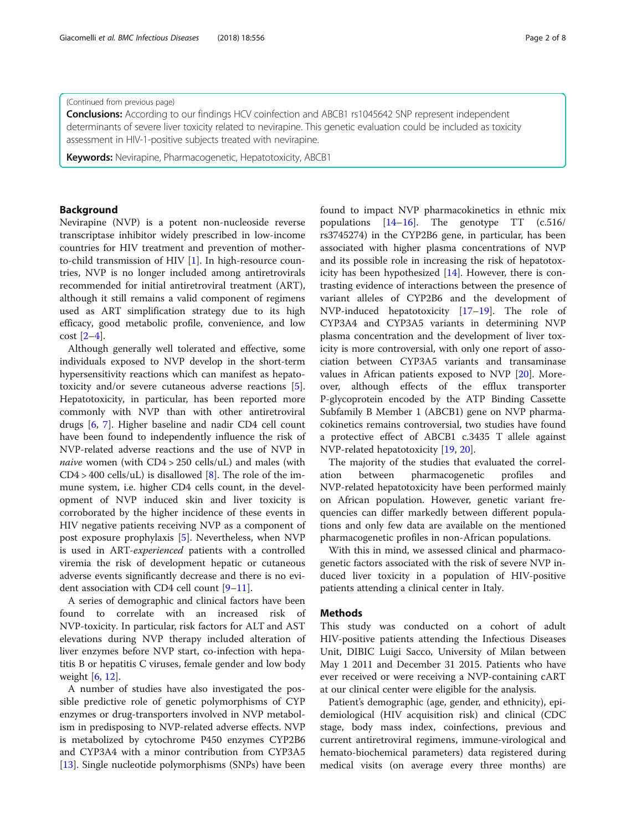# (Continued from previous page)

**Conclusions:** According to our findings HCV coinfection and ABCB1 rs1045642 SNP represent independent determinants of severe liver toxicity related to nevirapine. This genetic evaluation could be included as toxicity assessment in HIV-1-positive subjects treated with nevirapine.

**Keywords:** Nevirapine, Pharmacogenetic, Hepatotoxicity, ABCB1

# Background

Nevirapine (NVP) is a potent non-nucleoside reverse transcriptase inhibitor widely prescribed in low-income countries for HIV treatment and prevention of motherto-child transmission of HIV [[1\]](#page-7-0). In high-resource countries, NVP is no longer included among antiretrovirals recommended for initial antiretroviral treatment (ART), although it still remains a valid component of regimens used as ART simplification strategy due to its high efficacy, good metabolic profile, convenience, and low  $\cot$   $[2-4]$  $[2-4]$  $[2-4]$  $[2-4]$ .

Although generally well tolerated and effective, some individuals exposed to NVP develop in the short-term hypersensitivity reactions which can manifest as hepatotoxicity and/or severe cutaneous adverse reactions [\[5](#page-7-0)]. Hepatotoxicity, in particular, has been reported more commonly with NVP than with other antiretroviral drugs [[6,](#page-7-0) [7\]](#page-7-0). Higher baseline and nadir CD4 cell count have been found to independently influence the risk of NVP-related adverse reactions and the use of NVP in *naive* women (with  $CD4 > 250$  cells/uL) and males (with  $CD4 > 400$  cells/uL) is disallowed [[8](#page-7-0)]. The role of the immune system, i.e. higher CD4 cells count, in the development of NVP induced skin and liver toxicity is corroborated by the higher incidence of these events in HIV negative patients receiving NVP as a component of post exposure prophylaxis [[5](#page-7-0)]. Nevertheless, when NVP is used in ART-experienced patients with a controlled viremia the risk of development hepatic or cutaneous adverse events significantly decrease and there is no evident association with CD4 cell count [\[9](#page-7-0)–[11](#page-7-0)].

A series of demographic and clinical factors have been found to correlate with an increased risk of NVP-toxicity. In particular, risk factors for ALT and AST elevations during NVP therapy included alteration of liver enzymes before NVP start, co-infection with hepatitis B or hepatitis C viruses, female gender and low body weight [[6,](#page-7-0) [12\]](#page-7-0).

A number of studies have also investigated the possible predictive role of genetic polymorphisms of CYP enzymes or drug-transporters involved in NVP metabolism in predisposing to NVP-related adverse effects. NVP is metabolized by cytochrome P450 enzymes CYP2B6 and CYP3A4 with a minor contribution from CYP3A5 [[13\]](#page-7-0). Single nucleotide polymorphisms (SNPs) have been found to impact NVP pharmacokinetics in ethnic mix populations [\[14](#page-7-0)–[16\]](#page-7-0). The genotype TT (c.516/ rs3745274) in the CYP2B6 gene, in particular, has been associated with higher plasma concentrations of NVP and its possible role in increasing the risk of hepatotoxicity has been hypothesized [\[14](#page-7-0)]. However, there is contrasting evidence of interactions between the presence of variant alleles of CYP2B6 and the development of NVP-induced hepatotoxicity [\[17](#page-7-0)–[19\]](#page-7-0). The role of CYP3A4 and CYP3A5 variants in determining NVP plasma concentration and the development of liver toxicity is more controversial, with only one report of association between CYP3A5 variants and transaminase values in African patients exposed to NVP [\[20](#page-7-0)]. Moreover, although effects of the efflux transporter P-glycoprotein encoded by the ATP Binding Cassette Subfamily B Member 1 (ABCB1) gene on NVP pharmacokinetics remains controversial, two studies have found a protective effect of ABCB1 c.3435 T allele against NVP-related hepatotoxicity [[19,](#page-7-0) [20](#page-7-0)].

The majority of the studies that evaluated the correlation between pharmacogenetic profiles and NVP-related hepatotoxicity have been performed mainly on African population. However, genetic variant frequencies can differ markedly between different populations and only few data are available on the mentioned pharmacogenetic profiles in non-African populations.

With this in mind, we assessed clinical and pharmacogenetic factors associated with the risk of severe NVP induced liver toxicity in a population of HIV-positive patients attending a clinical center in Italy.

# Methods

This study was conducted on a cohort of adult HIV-positive patients attending the Infectious Diseases Unit, DIBIC Luigi Sacco, University of Milan between May 1 2011 and December 31 2015. Patients who have ever received or were receiving a NVP-containing cART at our clinical center were eligible for the analysis.

Patient's demographic (age, gender, and ethnicity), epidemiological (HIV acquisition risk) and clinical (CDC stage, body mass index, coinfections, previous and current antiretroviral regimens, immune-virological and hemato-biochemical parameters) data registered during medical visits (on average every three months) are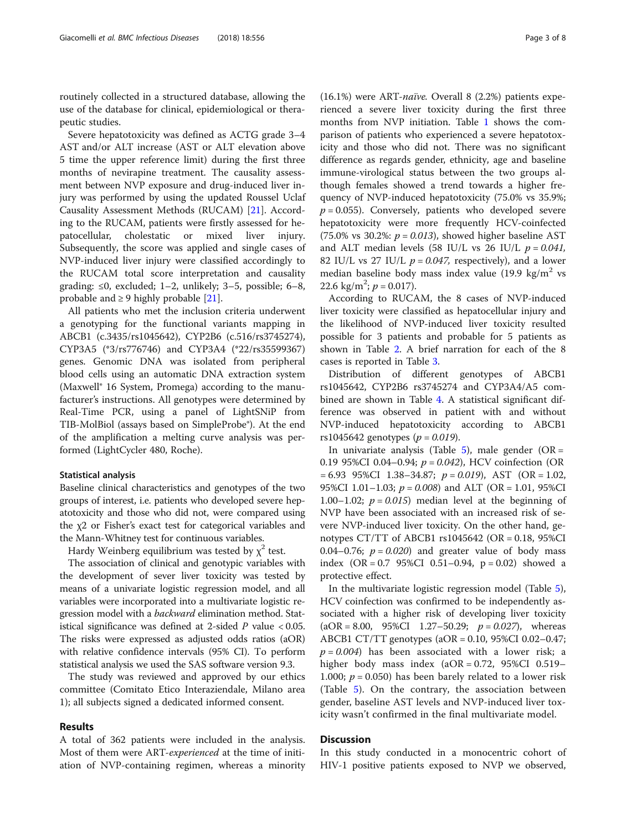routinely collected in a structured database, allowing the use of the database for clinical, epidemiological or therapeutic studies.

Severe hepatotoxicity was defined as ACTG grade 3–4 AST and/or ALT increase (AST or ALT elevation above 5 time the upper reference limit) during the first three months of nevirapine treatment. The causality assessment between NVP exposure and drug-induced liver injury was performed by using the updated Roussel Uclaf Causality Assessment Methods (RUCAM) [\[21](#page-7-0)]. According to the RUCAM, patients were firstly assessed for hepatocellular, cholestatic or mixed liver injury. Subsequently, the score was applied and single cases of NVP-induced liver injury were classified accordingly to the RUCAM total score interpretation and causality grading: ≤0, excluded; 1–2, unlikely; 3–5, possible; 6–8, probable and  $\geq$  9 highly probable [[21\]](#page-7-0).

All patients who met the inclusion criteria underwent a genotyping for the functional variants mapping in ABCB1 (c.3435/rs1045642), CYP2B6 (c.516/rs3745274), CYP3A5 (\*3/rs776746) and CYP3A4 (\*22/rs35599367) genes. Genomic DNA was isolated from peripheral blood cells using an automatic DNA extraction system (Maxwell® 16 System, Promega) according to the manufacturer's instructions. All genotypes were determined by Real-Time PCR, using a panel of LightSNiP from TIB-MolBiol (assays based on SimpleProbe®). At the end of the amplification a melting curve analysis was performed (LightCycler 480, Roche).

### Statistical analysis

Baseline clinical characteristics and genotypes of the two groups of interest, i.e. patients who developed severe hepatotoxicity and those who did not, were compared using the χ2 or Fisher's exact test for categorical variables and the Mann-Whitney test for continuous variables.

Hardy Weinberg equilibrium was tested by  $\chi^2$  test.

The association of clinical and genotypic variables with the development of sever liver toxicity was tested by means of a univariate logistic regression model, and all variables were incorporated into a multivariate logistic regression model with a backward elimination method. Statistical significance was defined at 2-sided  $P$  value < 0.05. The risks were expressed as adjusted odds ratios (aOR) with relative confidence intervals (95% CI). To perform statistical analysis we used the SAS software version 9.3.

The study was reviewed and approved by our ethics committee (Comitato Etico Interaziendale, Milano area 1); all subjects signed a dedicated informed consent.

# Results

A total of 362 patients were included in the analysis. Most of them were ART-experienced at the time of initiation of NVP-containing regimen, whereas a minority

(16.1%) were ART-naïve. Overall 8 (2.2%) patients experienced a severe liver toxicity during the first three months from NVP initiation. Table [1](#page-3-0) shows the comparison of patients who experienced a severe hepatotoxicity and those who did not. There was no significant difference as regards gender, ethnicity, age and baseline immune-virological status between the two groups although females showed a trend towards a higher frequency of NVP-induced hepatotoxicity (75.0% vs 35.9%;  $p = 0.055$ ). Conversely, patients who developed severe hepatotoxicity were more frequently HCV-coinfected (75.0% vs 30.2%:  $p = 0.013$ ), showed higher baseline AST and ALT median levels (58 IU/L vs 26 IU/L  $p = 0.041$ , 82 IU/L vs 27 IU/L  $p = 0.047$ , respectively), and a lower median baseline body mass index value (19.9 kg/m<sup>2</sup> vs 22.6 kg/m<sup>2</sup>;  $p = 0.017$ ).

According to RUCAM, the 8 cases of NVP-induced liver toxicity were classified as hepatocellular injury and the likelihood of NVP-induced liver toxicity resulted possible for 3 patients and probable for 5 patients as shown in Table [2](#page-4-0). A brief narration for each of the 8 cases is reported in Table [3](#page-5-0).

Distribution of different genotypes of ABCB1 rs1045642, CYP2B6 rs3745274 and CYP3A4/A5 combined are shown in Table [4](#page-5-0). A statistical significant difference was observed in patient with and without NVP-induced hepatotoxicity according to ABCB1 rs1045642 genotypes ( $p = 0.019$ ).

In univariate analysis (Table  $5$ ), male gender (OR = 0.19 95%CI 0.04–0.94;  $p = 0.042$ ), HCV coinfection (OR  $= 6.93$  95%CI 1.38-34.87;  $p = 0.019$ ), AST (OR  $= 1.02$ , 95%CI 1.01-1.03;  $p = 0.008$ ) and ALT (OR = 1.01, 95%CI 1.00–1.02;  $p = 0.015$ ) median level at the beginning of NVP have been associated with an increased risk of severe NVP-induced liver toxicity. On the other hand, genotypes CT/TT of ABCB1 rs1045642 (OR = 0.18, 95%CI 0.04–0.76;  $p = 0.020$  and greater value of body mass index  $(OR = 0.7 \ 95\% CI \ 0.51-0.94, \ p = 0.02)$  showed a protective effect.

In the multivariate logistic regression model (Table [5](#page-6-0)), HCV coinfection was confirmed to be independently associated with a higher risk of developing liver toxicity  $(aOR = 8.00, 95\% CI \t1.27-50.29; p = 0.027)$ , whereas ABCB1 CT/TT genotypes (aOR = 0.10, 95%CI 0.02–0.47;  $p = 0.004$ ) has been associated with a lower risk; a higher body mass index (aOR = 0.72, 95%CI 0.519– 1.000;  $p = 0.050$ ) has been barely related to a lower risk (Table [5](#page-6-0)). On the contrary, the association between gender, baseline AST levels and NVP-induced liver toxicity wasn't confirmed in the final multivariate model.

# **Discussion**

In this study conducted in a monocentric cohort of HIV-1 positive patients exposed to NVP we observed,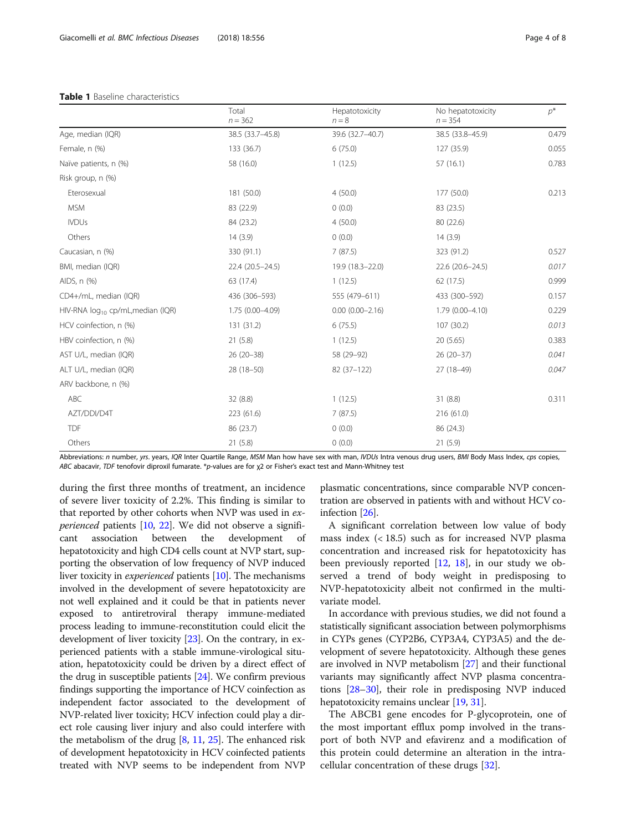### <span id="page-3-0"></span>Table 1 Baseline characteristics

|                                               | Total<br>$n = 362$ | Hepatotoxicity<br>$n = 8$ | No hepatotoxicity<br>$n = 354$ | $p^*$ |
|-----------------------------------------------|--------------------|---------------------------|--------------------------------|-------|
| Age, median (IQR)                             | 38.5 (33.7-45.8)   | 39.6 (32.7-40.7)          | 38.5 (33.8-45.9)               | 0.479 |
| Female, n (%)                                 | 133 (36.7)         | 6(75.0)                   | 127 (35.9)                     | 0.055 |
| Naïve patients, n (%)                         | 58 (16.0)          | 1(12.5)                   | 57(16.1)                       | 0.783 |
| Risk group, n (%)                             |                    |                           |                                |       |
| Eterosexual                                   | 181 (50.0)         | 4(50.0)                   | 177 (50.0)                     | 0.213 |
| <b>MSM</b>                                    | 83 (22.9)          | 0(0.0)                    | 83 (23.5)                      |       |
| <b>IVDUs</b>                                  | 84 (23.2)          | 4(50.0)                   | 80 (22.6)                      |       |
| Others                                        | 14(3.9)            | 0(0.0)                    | 14(3.9)                        |       |
| Caucasian, n (%)                              | 330 (91.1)         | 7(87.5)                   | 323 (91.2)                     | 0.527 |
| BMI, median (IQR)                             | 22.4 (20.5-24.5)   | 19.9 (18.3-22.0)          | 22.6 (20.6-24.5)               | 0.017 |
| AIDS, n (%)                                   | 63 (17.4)          | 1(12.5)                   | 62 (17.5)                      | 0.999 |
| CD4+/mL, median (IQR)                         | 436 (306-593)      | 555 (479-611)             | 433 (300-592)                  | 0.157 |
| HIV-RNA log <sub>10</sub> cp/mL, median (IQR) | 1.75 (0.00-4.09)   | $0.00(0.00 - 2.16)$       | 1.79 (0.00-4.10)               | 0.229 |
| HCV coinfection, n (%)                        | 131 (31.2)         | 6(75.5)                   | 107 (30.2)                     | 0.013 |
| HBV coinfection, n (%)                        | 21(5.8)            | 1(12.5)                   | 20(5.65)                       | 0.383 |
| AST U/L, median (IQR)                         | 26 (20-38)         | 58 (29-92)                | $26(20-37)$                    | 0.041 |
| ALT U/L, median (IQR)                         | 28 (18-50)         | $82(37-122)$              | 27 (18-49)                     | 0.047 |
| ARV backbone, n (%)                           |                    |                           |                                |       |
| ABC                                           | 32 (8.8)           | 1(12.5)                   | 31(8.8)                        | 0.311 |
| AZT/DDI/D4T                                   | 223 (61.6)         | 7(87.5)                   | 216 (61.0)                     |       |
| <b>TDF</b>                                    | 86 (23.7)          | 0(0.0)                    | 86 (24.3)                      |       |
| Others                                        | 21(5.8)            | 0(0.0)                    | 21(5.9)                        |       |

Abbreviations: n number, yrs. years, IOR Inter Quartile Range, MSM Man how have sex with man, IVDUs Intra venous drug users, BMI Body Mass Index, cps copies, ABC abacavir, TDF tenofovir diproxil fumarate. \*p-values are for  $\chi$ 2 or Fisher's exact test and Mann-Whitney test

during the first three months of treatment, an incidence of severe liver toxicity of 2.2%. This finding is similar to that reported by other cohorts when NVP was used in ex*perienced* patients  $[10, 22]$  $[10, 22]$  $[10, 22]$ . We did not observe a significant association between the development of hepatotoxicity and high CD4 cells count at NVP start, supporting the observation of low frequency of NVP induced liver toxicity in experienced patients [\[10\]](#page-7-0). The mechanisms involved in the development of severe hepatotoxicity are not well explained and it could be that in patients never exposed to antiretroviral therapy immune-mediated process leading to immune-reconstitution could elicit the development of liver toxicity [\[23\]](#page-7-0). On the contrary, in experienced patients with a stable immune-virological situation, hepatotoxicity could be driven by a direct effect of the drug in susceptible patients [[24](#page-7-0)]. We confirm previous findings supporting the importance of HCV coinfection as independent factor associated to the development of NVP-related liver toxicity; HCV infection could play a direct role causing liver injury and also could interfere with the metabolism of the drug  $[8, 11, 25]$  $[8, 11, 25]$  $[8, 11, 25]$  $[8, 11, 25]$  $[8, 11, 25]$  $[8, 11, 25]$ . The enhanced risk of development hepatotoxicity in HCV coinfected patients treated with NVP seems to be independent from NVP

plasmatic concentrations, since comparable NVP concentration are observed in patients with and without HCV coinfection [\[26](#page-7-0)].

A significant correlation between low value of body mass index (< 18.5) such as for increased NVP plasma concentration and increased risk for hepatotoxicity has been previously reported  $[12, 18]$  $[12, 18]$  $[12, 18]$  $[12, 18]$ , in our study we observed a trend of body weight in predisposing to NVP-hepatotoxicity albeit not confirmed in the multivariate model.

In accordance with previous studies, we did not found a statistically significant association between polymorphisms in CYPs genes (CYP2B6, CYP3A4, CYP3A5) and the development of severe hepatotoxicity. Although these genes are involved in NVP metabolism [[27](#page-7-0)] and their functional variants may significantly affect NVP plasma concentrations [[28](#page-7-0)–[30\]](#page-7-0), their role in predisposing NVP induced hepatotoxicity remains unclear [[19](#page-7-0), [31\]](#page-7-0).

The ABCB1 gene encodes for P-glycoprotein, one of the most important efflux pomp involved in the transport of both NVP and efavirenz and a modification of this protein could determine an alteration in the intracellular concentration of these drugs [[32\]](#page-7-0).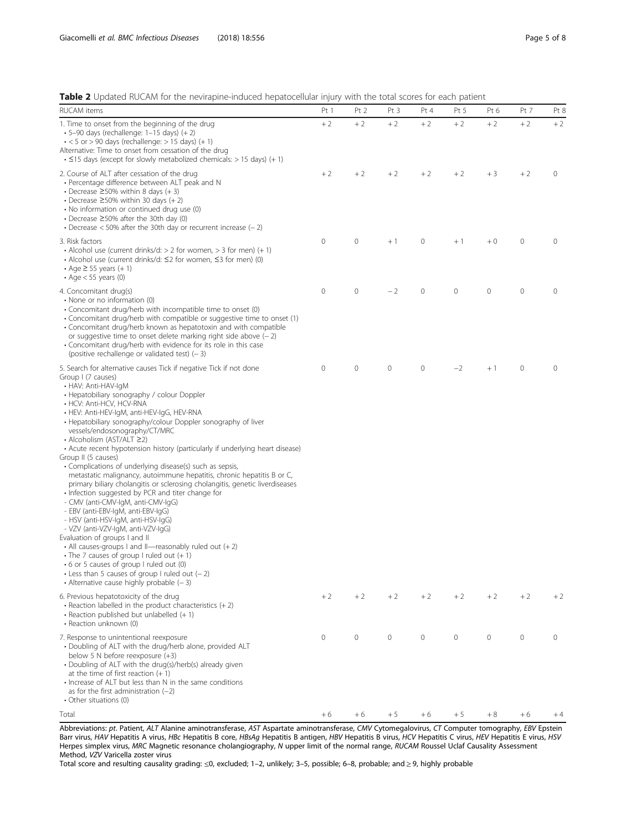<span id="page-4-0"></span>Table 2 Updated RUCAM for the nevirapine-induced hepatocellular injury with the total scores for each patient

|                                                                                                                                                                                                                                                                                                                                                                                                                                                                                                                                                                                                                                                                                                                                                                                                                                                                                                                                                                                                                                                                                                                                                                                                                     |                |              |             |                  | $-$         |              |             |         |
|---------------------------------------------------------------------------------------------------------------------------------------------------------------------------------------------------------------------------------------------------------------------------------------------------------------------------------------------------------------------------------------------------------------------------------------------------------------------------------------------------------------------------------------------------------------------------------------------------------------------------------------------------------------------------------------------------------------------------------------------------------------------------------------------------------------------------------------------------------------------------------------------------------------------------------------------------------------------------------------------------------------------------------------------------------------------------------------------------------------------------------------------------------------------------------------------------------------------|----------------|--------------|-------------|------------------|-------------|--------------|-------------|---------|
| <b>RUCAM</b> items                                                                                                                                                                                                                                                                                                                                                                                                                                                                                                                                                                                                                                                                                                                                                                                                                                                                                                                                                                                                                                                                                                                                                                                                  | Pt 1           | Pt 2         | Pt 3        | Pt 4             | Pt 5        | Pt 6         | Pt 7        | Pt 8    |
| 1. Time to onset from the beginning of the drug<br>$\cdot$ 5-90 days (rechallenge: 1-15 days) (+ 2)<br>$\cdot$ < 5 or > 90 days (rechallenge: > 15 days) (+ 1)<br>Alternative: Time to onset from cessation of the drug<br>$\cdot$ ≤15 days (except for slowly metabolized chemicals: > 15 days) (+ 1)                                                                                                                                                                                                                                                                                                                                                                                                                                                                                                                                                                                                                                                                                                                                                                                                                                                                                                              | $+2$           | $+2$         | $+2$        | $+2$             | $+2$        | $+2$         | $+2$        | $+2$    |
| 2. Course of ALT after cessation of the drug<br>• Percentage difference between ALT peak and N<br>• Decrease $\geq$ 50% within 8 days (+ 3)<br>• Decrease $\geq$ 50% within 30 days (+2)<br>• No information or continued drug use (0)<br>• Decrease $\geq$ 50% after the 30th day (0)<br>• Decrease $<$ 50% after the 30th day or recurrent increase $(-2)$                                                                                                                                                                                                                                                                                                                                                                                                                                                                                                                                                                                                                                                                                                                                                                                                                                                        | $+2$           | $+2$         | $+2$        | $+2$             | $+2$        | $+3$         | $+2$        | $\circ$ |
| 3. Risk factors<br>• Alcohol use (current drinks/d: $> 2$ for women, $> 3$ for men) (+ 1)<br>• Alcohol use (current drinks/d: ≤2 for women, ≤3 for men) (0)<br>$\cdot$ Age $\ge$ 55 years (+ 1)<br>$\cdot$ Age $<$ 55 years (0)                                                                                                                                                                                                                                                                                                                                                                                                                                                                                                                                                                                                                                                                                                                                                                                                                                                                                                                                                                                     | $\overline{0}$ | $\mathbf{0}$ | $+1$        | $\mathbf{0}$     | $+1$        | $+0$         | $\circ$     | $\circ$ |
| 4. Concomitant drug(s)<br>• None or no information (0)<br>• Concomitant drug/herb with incompatible time to onset (0)<br>• Concomitant drug/herb with compatible or suggestive time to onset (1)<br>• Concomitant drug/herb known as hepatotoxin and with compatible<br>or suggestive time to onset delete marking right side above $(-2)$<br>• Concomitant drug/herb with evidence for its role in this case<br>(positive rechallenge or validated test) $(-3)$                                                                                                                                                                                                                                                                                                                                                                                                                                                                                                                                                                                                                                                                                                                                                    | $\mathbf 0$    | $\circ$      | $-2$        | $\mathbf{0}$     | $\mathbf 0$ | $\mathbf{0}$ | $\circ$     | $\circ$ |
| 5. Search for alternative causes Tick if negative Tick if not done<br>Group I (7 causes)<br>• HAV: Anti-HAV-IgM<br>• Hepatobiliary sonography / colour Doppler<br>• HCV: Anti-HCV, HCV-RNA<br>• HEV: Anti-HEV-IgM, anti-HEV-IgG, HEV-RNA<br>• Hepatobiliary sonography/colour Doppler sonography of liver<br>vessels/endosonography/CT/MRC<br>• Alcoholism (AST/ALT ≥2)<br>• Acute recent hypotension history (particularly if underlying heart disease)<br>Group II (5 causes)<br>• Complications of underlying disease(s) such as sepsis,<br>metastatic malignancy, autoimmune hepatitis, chronic hepatitis B or C,<br>primary biliary cholangitis or sclerosing cholangitis, genetic liverdiseases<br>· Infection suggested by PCR and titer change for<br>- CMV (anti-CMV-IgM, anti-CMV-IgG)<br>- EBV (anti-EBV-IgM, anti-EBV-IgG)<br>- HSV (anti-HSV-IgM, anti-HSV-IgG)<br>- VZV (anti-VZV-IgM, anti-VZV-IgG)<br>Evaluation of groups I and II<br>• All causes-groups I and II-reasonably ruled out (+2)<br>$\cdot$ The 7 causes of group I ruled out $(+1)$<br>• 6 or 5 causes of group I ruled out (0)<br>$\cdot$ Less than 5 causes of group I ruled out (-2)<br>• Alternative cause highly probable $(-3)$ | $\overline{0}$ | $\circ$      | $\mathbb O$ | $\boldsymbol{0}$ | $-2$        | $+1$         | $\circ$     | $\circ$ |
| 6. Previous hepatotoxicity of the drug<br>$\cdot$ Reaction labelled in the product characteristics (+2)<br>• Reaction published but unlabelled $(+1)$<br>• Reaction unknown (0)                                                                                                                                                                                                                                                                                                                                                                                                                                                                                                                                                                                                                                                                                                                                                                                                                                                                                                                                                                                                                                     | $+2$           | $+2$         | $+2$        | $+2$             | $+2$        | $+2$         | $+2$        | $+2$    |
| 7. Response to unintentional reexposure<br>• Doubling of ALT with the drug/herb alone, provided ALT<br>below 5 N before reexposure (+3)<br>• Doubling of ALT with the drug(s)/herb(s) already given<br>at the time of first reaction $(+1)$<br>• Increase of ALT but less than N in the same conditions<br>as for the first administration $(-2)$<br>• Other situations (0)                                                                                                                                                                                                                                                                                                                                                                                                                                                                                                                                                                                                                                                                                                                                                                                                                                         | $\mathbf 0$    | $\mathbf{0}$ | $\mathbf 0$ | $\circ$          | $\mathbf 0$ | $\mathbf{0}$ | $\mathbf 0$ | $\circ$ |
| Total                                                                                                                                                                                                                                                                                                                                                                                                                                                                                                                                                                                                                                                                                                                                                                                                                                                                                                                                                                                                                                                                                                                                                                                                               | $+6$           | $+6$         | $+5$        | $+6$             | $+5$        | $+8$         | $+6$        | $+4$    |

Abbreviations: pt. Patient, ALT Alanine aminotransferase, AST Aspartate aminotransferase, CMV Cytomegalovirus, CT Computer tomography, EBV Epstein Barr virus, HAV Hepatitis A virus, HBc Hepatitis B core, HBsAg Hepatitis B antigen, HBV Hepatitis B virus, HCV Hepatitis C virus, HEV Hepatitis E virus, HSV Herpes simplex virus, MRC Magnetic resonance cholangiography, N upper limit of the normal range, RUCAM Roussel Uclaf Causality Assessment Method, VZV Varicella zoster virus

Total score and resulting causality grading: ≤0, excluded; 1–2, unlikely; 3–5, possible; 6–8, probable; and ≥ 9, highly probable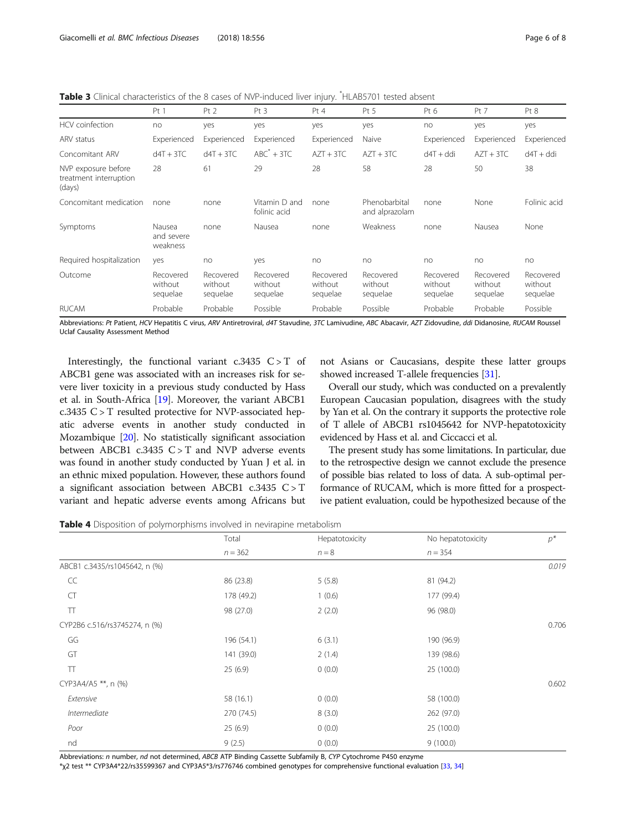<span id="page-5-0"></span>Table 3 Clinical characteristics of the 8 cases of NVP-induced liver injury. <sup>\*</sup>HLAB5701 tested absent

|                                                         | Pt 1                             | Pt 2                             | Pt <sub>3</sub>                  | Pt 4                             | Pt <sub>5</sub>                  | Pt 6                             | Pt 7                             | Pt 8                             |
|---------------------------------------------------------|----------------------------------|----------------------------------|----------------------------------|----------------------------------|----------------------------------|----------------------------------|----------------------------------|----------------------------------|
| HCV coinfection                                         | no                               | yes                              | yes                              | yes                              | yes                              | no                               | yes                              | yes                              |
| ARV status                                              | Experienced                      | Experienced                      | Experienced                      | Experienced                      | Naive                            | Experienced                      | Experienced                      | Experienced                      |
| Concomitant ARV                                         | $d4T + 3TC$                      | $d4T + 3TC$                      | $ABC^* + 3TC$                    | $AZT + 3TC$                      | $AZT + 3TC$                      | $d4T + ddi$                      | $AZT + 3TC$                      | $d4T + ddi$                      |
| NVP exposure before<br>treatment interruption<br>(days) | 28                               | 61                               | 29                               | 28                               | 58                               | 28                               | 50                               | 38                               |
| Concomitant medication                                  | none                             | none                             | Vitamin D and<br>folinic acid    | none                             | Phenobarbital<br>and alprazolam  | none                             | None                             | Folinic acid                     |
| Symptoms                                                | Nausea<br>and severe<br>weakness | none                             | Nausea                           | none                             | Weakness                         | none                             | Nausea                           | None                             |
| Required hospitalization                                | yes                              | no                               | yes                              | no                               | no                               | no                               | no                               | no                               |
| Outcome                                                 | Recovered<br>without<br>sequelae | Recovered<br>without<br>sequelae | Recovered<br>without<br>sequelae | Recovered<br>without<br>sequelae | Recovered<br>without<br>sequelae | Recovered<br>without<br>sequelae | Recovered<br>without<br>sequelae | Recovered<br>without<br>sequelae |
| <b>RUCAM</b>                                            | Probable                         | Probable                         | Possible                         | Probable                         | Possible                         | Probable                         | Probable                         | Possible                         |

Abbreviations: Pt Patient, HCV Hepatitis C virus, ARV Antiretroviral, d4T Stavudine, 3TC Lamivudine, ABC Abacavir, AZT Zidovudine, ddi Didanosine, RUCAM Roussel Uclaf Causality Assessment Method

Interestingly, the functional variant  $c.3435 \text{ C} > T$  of ABCB1 gene was associated with an increases risk for severe liver toxicity in a previous study conducted by Hass et al. in South-Africa [\[19\]](#page-7-0). Moreover, the variant ABCB1 c.3435  $C > T$  resulted protective for NVP-associated hepatic adverse events in another study conducted in Mozambique [\[20\]](#page-7-0). No statistically significant association between ABCB1 c.3435 C > T and NVP adverse events was found in another study conducted by Yuan J et al. in an ethnic mixed population. However, these authors found a significant association between ABCB1 c.3435 C > T variant and hepatic adverse events among Africans but

not Asians or Caucasians, despite these latter groups showed increased T-allele frequencies [\[31\]](#page-7-0).

Overall our study, which was conducted on a prevalently European Caucasian population, disagrees with the study by Yan et al. On the contrary it supports the protective role of T allele of ABCB1 rs1045642 for NVP-hepatotoxicity evidenced by Hass et al. and Ciccacci et al.

The present study has some limitations. In particular, due to the retrospective design we cannot exclude the presence of possible bias related to loss of data. A sub-optimal performance of RUCAM, which is more fitted for a prospective patient evaluation, could be hypothesized because of the

Table 4 Disposition of polymorphisms involved in nevirapine metabolism

|                               | Total      | Hepatotoxicity | No hepatotoxicity | $p^*$ |
|-------------------------------|------------|----------------|-------------------|-------|
|                               | $n = 362$  | $n = 8$        | $n = 354$         |       |
| ABCB1 c.3435/rs1045642, n (%) |            |                |                   | 0.019 |
| CC                            | 86 (23.8)  | 5(5.8)         | 81 (94.2)         |       |
| CT                            | 178 (49.2) | 1(0.6)         | 177 (99.4)        |       |
| $\top$                        | 98 (27.0)  | 2(2.0)         | 96 (98.0)         |       |
| CYP2B6 c.516/rs3745274, n (%) |            |                |                   | 0.706 |
| GG                            | 196 (54.1) | 6(3.1)         | 190 (96.9)        |       |
| GT                            | 141 (39.0) | 2(1.4)         | 139 (98.6)        |       |
| $\top$                        | 25(6.9)    | 0(0.0)         | 25 (100.0)        |       |
| CYP3A4/A5 **, n (%)           |            |                |                   | 0.602 |
| Extensive                     | 58 (16.1)  | 0(0.0)         | 58 (100.0)        |       |
| Intermediate                  | 270 (74.5) | 8(3.0)         | 262 (97.0)        |       |
| Poor                          | 25(6.9)    | 0(0.0)         | 25 (100.0)        |       |
| nd                            | 9(2.5)     | 0(0.0)         | 9(100.0)          |       |

Abbreviations: n number, nd not determined, ABCB ATP Binding Cassette Subfamily B, CYP Cytochrome P450 enzyme

\*χ2 test \*\* CYP3A4\*22/rs35599367 and CYP3A5\*3/rs776746 combined genotypes for comprehensive functional evaluation [[33,](#page-7-0) [34](#page-7-0)]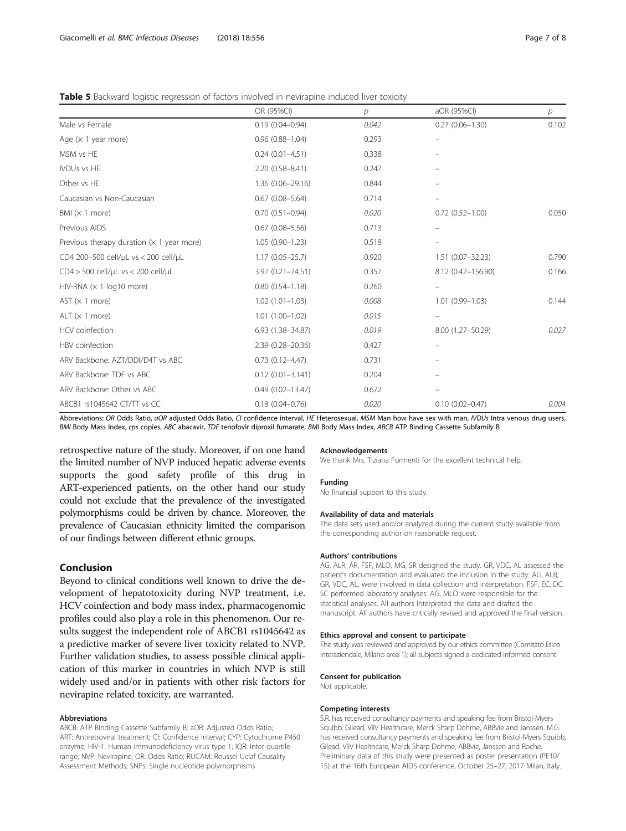# <span id="page-6-0"></span>**Table 5** Backward logistic regression of factors involved in nevirapine induced liver toxicity

|                                             | OR (95%CI)           | р     | aOR (95%Cl)          | $\overline{p}$ |
|---------------------------------------------|----------------------|-------|----------------------|----------------|
| Male vs Female                              | $0.19(0.04 - 0.94)$  | 0.042 | $0.27(0.06 - 1.30)$  | 0.102          |
| Age $(x 1$ year more)                       | $0.96(0.88 - 1.04)$  | 0.293 |                      |                |
| MSM vs HE                                   | $0.24(0.01 - 4.51)$  | 0.338 |                      |                |
| <b>IVDUs vs HE</b>                          | 2.20 (0.58-8.41)     | 0.247 |                      |                |
| Other vs HE                                 | 1.36 (0.06-29.16)    | 0.844 |                      |                |
| Caucasian vs Non-Caucasian                  | $0.67$ (0.08-5.64)   | 0.714 |                      |                |
| BMI $(x 1 more)$                            | $0.70(0.51 - 0.94)$  | 0.020 | $0.72(0.52 - 1.00)$  | 0.050          |
| Previous AIDS                               | $0.67(0.08 - 5.56)$  | 0.713 |                      |                |
| Previous therapy duration $(x 1$ year more) | $1.05(0.90 - 1.23)$  | 0.518 |                      |                |
| CD4 200-500 cell/µL vs < 200 cell/µL        | $1.17(0.05 - 25.7)$  | 0.920 | $1.51(0.07 - 32.23)$ | 0.790          |
| $CD4 > 500$ cell/µL vs < 200 cell/µL        | $3.97(0.21 - 74.51)$ | 0.357 | 8.12 (0.42-156.90)   | 0.166          |
| HIV-RNA $(x 1 log10$ more)                  | $0.80(0.54 - 1.18)$  | 0.260 |                      |                |
| AST (x 1 more)                              | $1.02(1.01 - 1.03)$  | 0.008 | $1.01(0.99 - 1.03)$  | 0.144          |
| ALT $(x 1 more)$                            | $1.01(1.00 - 1.02)$  | 0.015 |                      |                |
| HCV coinfection                             | 6.93 (1.38-34.87)    | 0.019 | 8.00 (1.27-50.29)    | 0.027          |
| HBV coinfection                             | $2.39(0.28 - 20.36)$ | 0.427 |                      |                |
| ARV Backbone: AZT/DDI/D4T vs ABC            | $0.73(0.12 - 4.47)$  | 0.731 |                      |                |
| ARV Backbone: TDF vs ABC                    | $0.12(0.01 - 3.141)$ | 0.204 |                      |                |
| ARV Backbone: Other vs ABC                  | $0.49(0.02 - 13.47)$ | 0.672 |                      |                |
| ABCB1 rs1045642 CT/TT vs CC                 | $0.18(0.04 - 0.76)$  | 0.020 | $0.10(0.02 - 0.47)$  | 0.004          |

Abbreviations: OR Odds Ratio, aOR adjusted Odds Ratio, CI confidence interval, HE Heterosexual, MSM Man how have sex with man, IVDUs Intra venous drug users, BMI Body Mass Index, cps copies, ABC abacavir, TDF tenofovir diproxil fumarate, BMI Body Mass Index, ABCB ATP Binding Cassette Subfamily B

retrospective nature of the study. Moreover, if on one hand the limited number of NVP induced hepatic adverse events supports the good safety profile of this drug in ART-experienced patients, on the other hand our study could not exclude that the prevalence of the investigated polymorphisms could be driven by chance. Moreover, the prevalence of Caucasian ethnicity limited the comparison of our findings between different ethnic groups.

# Conclusion

Beyond to clinical conditions well known to drive the development of hepatotoxicity during NVP treatment, i.e. HCV coinfection and body mass index, pharmacogenomic profiles could also play a role in this phenomenon. Our results suggest the independent role of ABCB1 rs1045642 as a predictive marker of severe liver toxicity related to NVP. Further validation studies, to assess possible clinical application of this marker in countries in which NVP is still widely used and/or in patients with other risk factors for nevirapine related toxicity, are warranted.

#### Abbreviations

ABCB: ATP Binding Cassette Subfamily B; aOR: Adjusted Odds Ratio; ART: Antiretroviral treatment; CI: Confidence interval; CYP: Cytochrome P450 enzyme; HIV-1: Human immunodeficiency virus type 1; IQR: Inter quartile range; NVP: Nevirapine; OR: Odds Ratio; RUCAM: Roussel Uclaf Causality Assessment Methods; SNPs: Single nucleotide polymorphisms

## Acknowledgements

We thank Mrs. Tiziana Formenti for the excellent technical help.

#### Funding

No financial support to this study.

#### Availability of data and materials

The data sets used and/or analyzed during the current study available from the corresponding author on reasonable request.

#### Authors' contributions

AG, ALR, AR, FSF, MLO, MG, SR designed the study. GR, VDC, AL assessed the patient's documentation and evaluated the inclusion in the study. AG, ALR, GR, VDC, AL, were involved in data collection and interpretation. FSF, EC, DC, SC performed laboratory analyses. AG, MLO were responsible for the statistical analyses. All authors interpreted the data and drafted the manuscript. All authors have critically revised and approved the final version.

#### Ethics approval and consent to participate

The study was reviewed and approved by our ethics committee (Comitato Etico Interaziendale, Milano area 1); all subjects signed a dedicated informed consent.

#### Consent for publication

Not applicable.

### Competing interests

S.R. has received consultancy payments and speaking fee from Bristol-Myers Squibb, Gilead, ViiV Healthcare, Merck Sharp Dohme, ABBvie and Janssen. M.G. has received consultancy payments and speaking fee from Bristol-Myers Squibb, Gilead, ViiV Healthcare, Merck Sharp Dohme, ABBvie, Janssen and Roche. Preliminary data of this study were presented as poster presentation (PE10/ 15) at the 16th European AIDS conference, October 25–27, 2017 Milan, Italy.